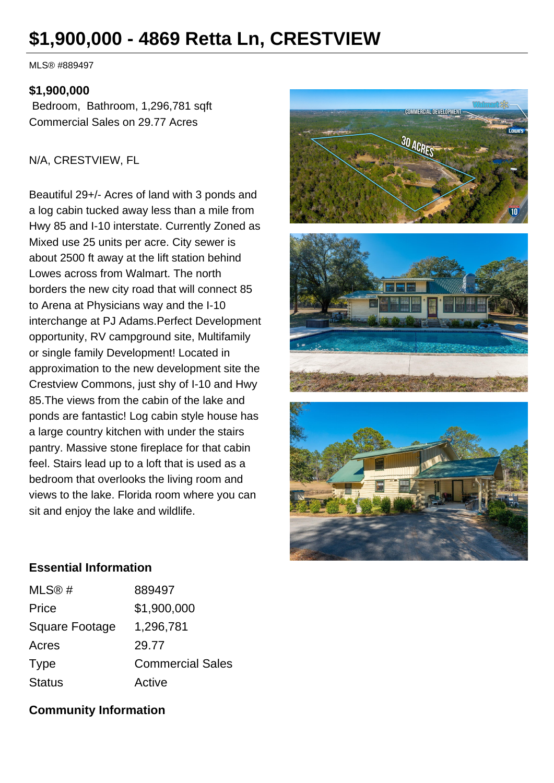# **\$1,900,000 - 4869 Retta Ln, CRESTVIEW**

MLS® #889497

#### **\$1,900,000**

 Bedroom, Bathroom, 1,296,781 sqft Commercial Sales on 29.77 Acres

#### N/A, CRESTVIEW, FL

Beautiful 29+/- Acres of land with 3 ponds and a log cabin tucked away less than a mile from Hwy 85 and I-10 interstate. Currently Zoned as Mixed use 25 units per acre. City sewer is about 2500 ft away at the lift station behind Lowes across from Walmart. The north borders the new city road that will connect 85 to Arena at Physicians way and the I-10 interchange at PJ Adams.Perfect Development opportunity, RV campground site, Multifamily or single family Development! Located in approximation to the new development site the Crestview Commons, just shy of I-10 and Hwy 85.The views from the cabin of the lake and ponds are fantastic! Log cabin style house has a large country kitchen with under the stairs pantry. Massive stone fireplace for that cabin feel. Stairs lead up to a loft that is used as a bedroom that overlooks the living room and views to the lake. Florida room where you can sit and enjoy the lake and wildlife.



#### **Essential Information**

| MLS@#          | 889497                  |
|----------------|-------------------------|
| Price          | \$1,900,000             |
| Square Footage | 1,296,781               |
| Acres          | 29.77                   |
| <b>Type</b>    | <b>Commercial Sales</b> |
| <b>Status</b>  | Active                  |

## **Community Information**